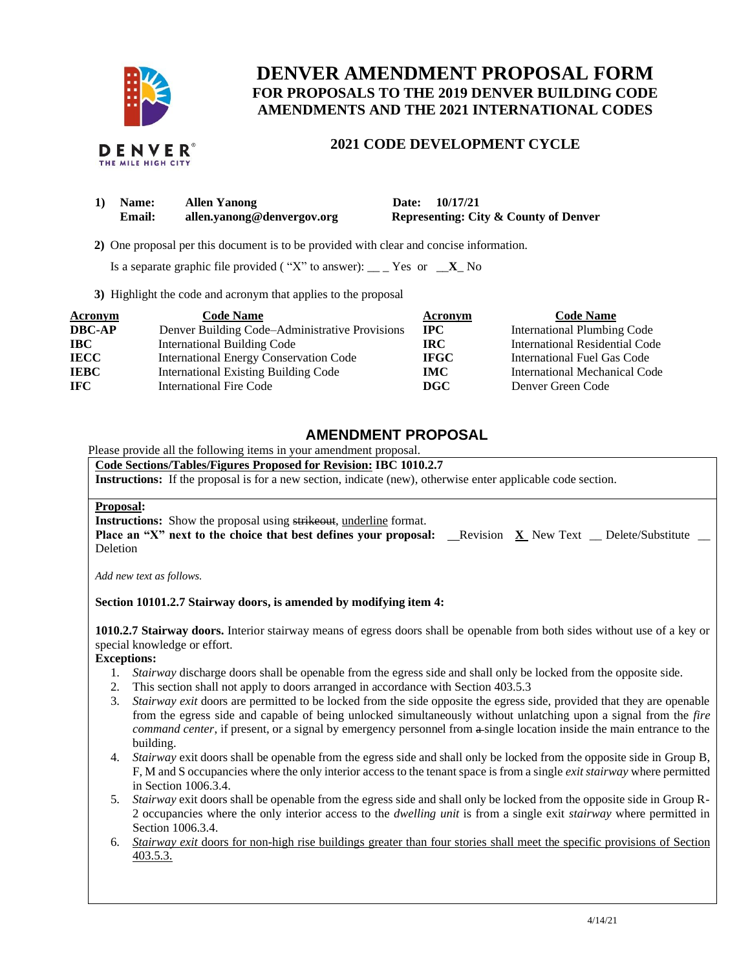

# **DENVER AMENDMENT PROPOSAL FORM FOR PROPOSALS TO THE 2019 DENVER BUILDING CODE AMENDMENTS AND THE 2021 INTERNATIONAL CODES**

## **2021 CODE DEVELOPMENT CYCLE**

| 1) Name:      | <b>Allen Yanong</b>        | Date: 10/17/21                                   |
|---------------|----------------------------|--------------------------------------------------|
| <b>Email:</b> | allen.yanong@denvergov.org | <b>Representing: City &amp; County of Denver</b> |

 **2)** One proposal per this document is to be provided with clear and concise information.

Is a separate graphic file provided ("X" to answer): \_\_ \_ Yes or  $\mathbf{X}$  No

**3)** Highlight the code and acronym that applies to the proposal

| Acronym       | <b>Code Name</b>                               | Acronym      | <b>Code Name</b>                   |
|---------------|------------------------------------------------|--------------|------------------------------------|
| <b>DBC-AP</b> | Denver Building Code–Administrative Provisions | $_{\rm IPC}$ | <b>International Plumbing Code</b> |
| <b>IBC</b>    | International Building Code                    | IRC.         | International Residential Code     |
| <b>IECC</b>   | <b>International Energy Conservation Code</b>  | <b>IFGC</b>  | International Fuel Gas Code        |
| <b>IEBC</b>   | <b>International Existing Building Code</b>    | <b>IMC</b>   | International Mechanical Code      |
| <b>IFC</b>    | International Fire Code                        | DGC          | Denver Green Code                  |

# **AMENDMENT PROPOSAL**

Please provide all the following items in your amendment proposal.

## **Code Sections/Tables/Figures Proposed for Revision: IBC 1010.2.7**

**Instructions:** If the proposal is for a new section, indicate (new), otherwise enter applicable code section.

#### **Proposal:**

**Instructions:** Show the proposal using strikeout, underline format.

**Place an "X" next to the choice that best defines your proposal: Revision <b>X** New Text Delete/Substitute Deletion

*Add new text as follows.*

## **Section 10101.2.7 Stairway doors, is amended by modifying item 4:**

**1010.2.7 Stairway doors.** Interior stairway means of egress doors shall be openable from both sides without use of a key or special knowledge or effort.

## **Exceptions:**

- 1. *Stairway* discharge doors shall be openable from the egress side and shall only be locked from the opposite side.
- 2. This section shall not apply to doors arranged in accordance with Section 403.5.3
- 3. *Stairway exit* doors are permitted to be locked from the side opposite the egress side, provided that they are openable from the egress side and capable of being unlocked simultaneously without unlatching upon a signal from the *fire command center*, if present, or a signal by emergency personnel from  $\theta$  single location inside the main entrance to the building.
- 4. *Stairway* exit doors shall be openable from the egress side and shall only be locked from the opposite side in Group B, F, M and S occupancies where the only interior access to the tenant space is from a single *exit stairway* where permitted in Section 1006.3.4.
- 5. *Stairway* exit doors shall be openable from the egress side and shall only be locked from the opposite side in Group R-2 occupancies where the only interior access to the *dwelling unit* is from a single exit *stairway* where permitted in Section 1006.3.4.
- 6. *Stairway exit* doors for non-high rise buildings greater than four stories shall meet the specific provisions of Section 403.5.3.